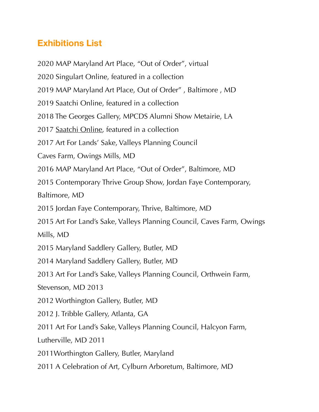## **Exhibitions List**

2020 MAP Maryland Art Place, "Out of Order", virtual 2020 Singulart Online, featured in a collection 2019 MAP Maryland Art Place, Out of Order" , Baltimore , MD 2019 Saatchi Online, featured in a collection 2018 The Georges Gallery, MPCDS Alumni Show Metairie, LA 2017 [Saatchi Online](http://saatchiart.com), featured in a collection 2017 Art For Lands' Sake, Valleys Planning Council Caves Farm, Owings Mills, MD 2016 MAP Maryland Art Place, "Out of Order", Baltimore, MD 2015 Contemporary Thrive Group Show, Jordan Faye Contemporary, Baltimore, MD 2015 Jordan Faye Contemporary, Thrive, Baltimore, MD 2015 Art For Land's Sake, Valleys Planning Council, Caves Farm, Owings Mills, MD 2015 Maryland Saddlery Gallery, Butler, MD 2014 Maryland Saddlery Gallery, Butler, MD 2013 Art For Land's Sake, Valleys Planning Council, Orthwein Farm, Stevenson, MD 2013 2012 Worthington Gallery, Butler, MD 2012 J. Tribble Gallery, Atlanta, GA 2011 Art For Land's Sake, Valleys Planning Council, Halcyon Farm, Lutherville, MD 2011 2011Worthington Gallery, Butler, Maryland 2011 A Celebration of Art, Cylburn Arboretum, Baltimore, MD